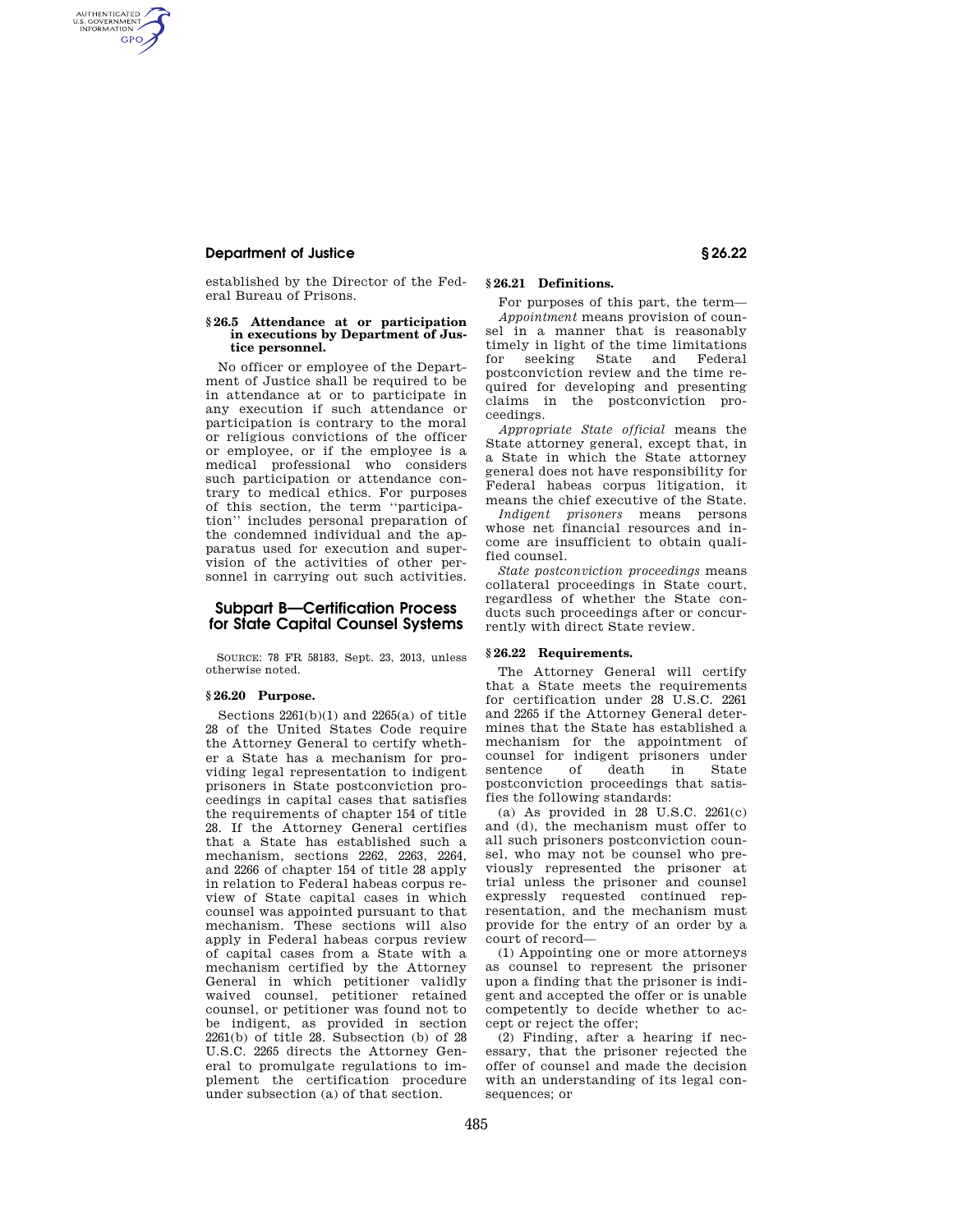# **Department of Justice § 26.22**

AUTHENTICATED<br>U.S. GOVERNMENT<br>INFORMATION **GPO** 

> established by the Director of the Federal Bureau of Prisons.

#### **§ 26.5 Attendance at or participation in executions by Department of Justice personnel.**

No officer or employee of the Department of Justice shall be required to be in attendance at or to participate in any execution if such attendance or participation is contrary to the moral or religious convictions of the officer or employee, or if the employee is a medical professional who considers such participation or attendance contrary to medical ethics. For purposes of this section, the term ''participation'' includes personal preparation of the condemned individual and the apparatus used for execution and supervision of the activities of other personnel in carrying out such activities.

# **Subpart B—Certification Process for State Capital Counsel Systems**

SOURCE: 78 FR 58183, Sept. 23, 2013, unless otherwise noted.

#### **§ 26.20 Purpose.**

Sections 2261(b)(1) and 2265(a) of title 28 of the United States Code require the Attorney General to certify whether a State has a mechanism for providing legal representation to indigent prisoners in State postconviction proceedings in capital cases that satisfies the requirements of chapter 154 of title 28. If the Attorney General certifies that a State has established such a mechanism, sections 2262, 2263, 2264, and 2266 of chapter 154 of title 28 apply in relation to Federal habeas corpus review of State capital cases in which counsel was appointed pursuant to that mechanism. These sections will also apply in Federal habeas corpus review of capital cases from a State with a mechanism certified by the Attorney General in which petitioner validly waived counsel, petitioner retained counsel, or petitioner was found not to be indigent, as provided in section  $2261(b)$  of title  $28$ . Subsection (b) of  $28$ U.S.C. 2265 directs the Attorney General to promulgate regulations to implement the certification procedure under subsection (a) of that section.

# **§ 26.21 Definitions.**

For purposes of this part, the term—

*Appointment* means provision of counsel in a manner that is reasonably timely in light of the time limitations for seeking State and Federal postconviction review and the time required for developing and presenting claims in the postconviction proceedings.

*Appropriate State official* means the State attorney general, except that, in a State in which the State attorney general does not have responsibility for Federal habeas corpus litigation, it means the chief executive of the State.

*Indigent prisoners* means persons whose net financial resources and income are insufficient to obtain qualified counsel.

*State postconviction proceedings* means collateral proceedings in State court, regardless of whether the State conducts such proceedings after or concurrently with direct State review.

## **§ 26.22 Requirements.**

The Attorney General will certify that a State meets the requirements for certification under 28 U.S.C. 2261 and 2265 if the Attorney General determines that the State has established a mechanism for the appointment of counsel for indigent prisoners under sentence of death in State postconviction proceedings that satisfies the following standards:

(a) As provided in  $28$  U.S.C.  $2261(c)$ and (d), the mechanism must offer to all such prisoners postconviction counsel, who may not be counsel who previously represented the prisoner at trial unless the prisoner and counsel expressly requested continued representation, and the mechanism must provide for the entry of an order by a court of record—

(1) Appointing one or more attorneys as counsel to represent the prisoner upon a finding that the prisoner is indigent and accepted the offer or is unable competently to decide whether to accept or reject the offer;

(2) Finding, after a hearing if necessary, that the prisoner rejected the offer of counsel and made the decision with an understanding of its legal consequences; or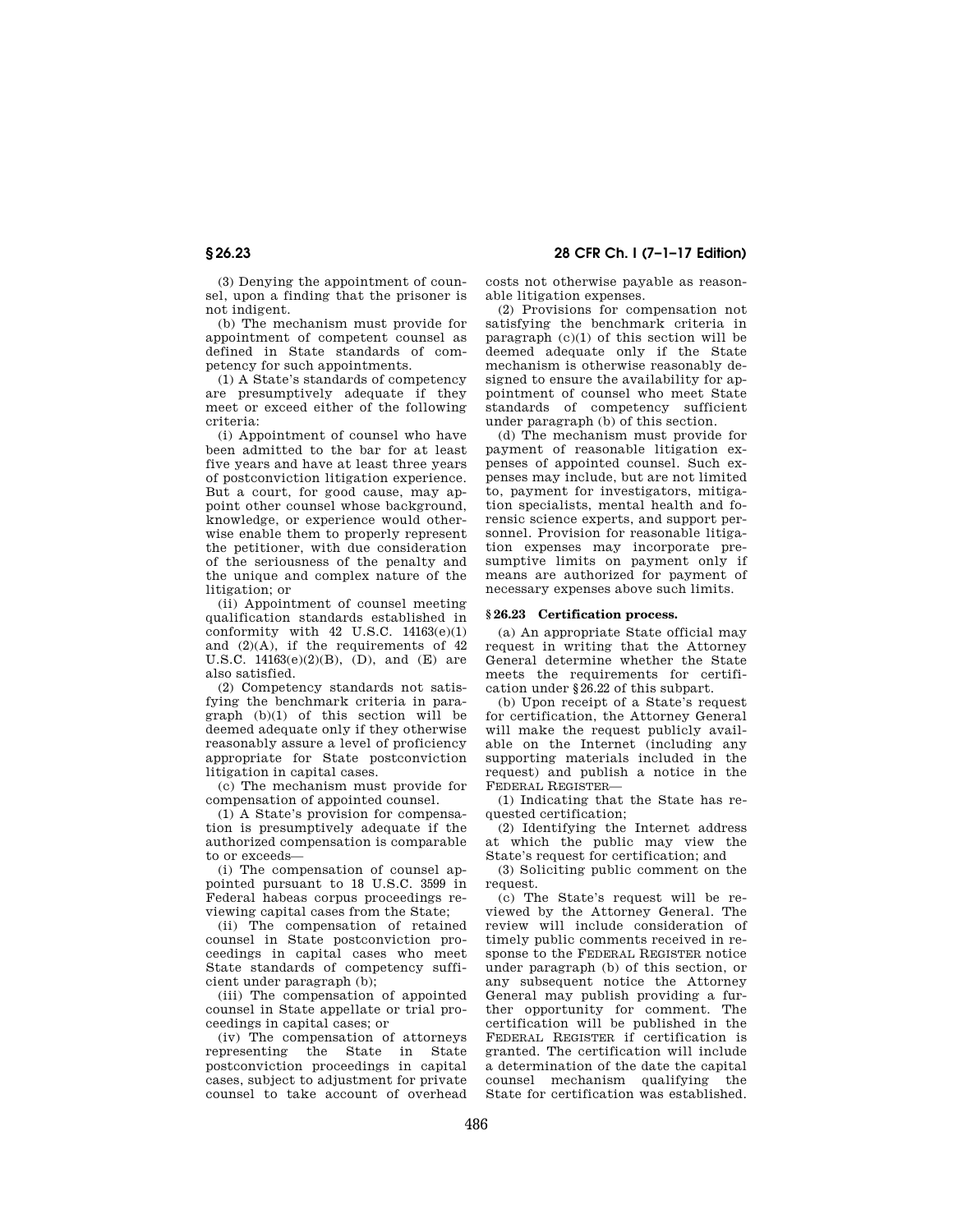(3) Denying the appointment of counsel, upon a finding that the prisoner is not indigent.

(b) The mechanism must provide for appointment of competent counsel as defined in State standards of competency for such appointments.

(1) A State's standards of competency are presumptively adequate if they meet or exceed either of the following criteria:

(i) Appointment of counsel who have been admitted to the bar for at least five years and have at least three years of postconviction litigation experience. But a court, for good cause, may appoint other counsel whose background, knowledge, or experience would otherwise enable them to properly represent the petitioner, with due consideration of the seriousness of the penalty and the unique and complex nature of the litigation; or

(ii) Appointment of counsel meeting qualification standards established in conformity with  $42$  U.S.C.  $14163(e)(1)$ and  $(2)(A)$ , if the requirements of  $42$ U.S.C.  $14163(e)(2)(B)$ , (D), and (E) are also satisfied.

(2) Competency standards not satisfying the benchmark criteria in paragraph (b)(1) of this section will be deemed adequate only if they otherwise reasonably assure a level of proficiency appropriate for State postconviction litigation in capital cases.

(c) The mechanism must provide for compensation of appointed counsel.

(1) A State's provision for compensation is presumptively adequate if the authorized compensation is comparable to or exceeds—

(i) The compensation of counsel appointed pursuant to 18 U.S.C. 3599 in Federal habeas corpus proceedings reviewing capital cases from the State;

(ii) The compensation of retained counsel in State postconviction proceedings in capital cases who meet State standards of competency sufficient under paragraph (b);

(iii) The compensation of appointed counsel in State appellate or trial proceedings in capital cases; or

(iv) The compensation of attorneys representing the State in State postconviction proceedings in capital cases, subject to adjustment for private counsel to take account of overhead

**§ 26.23 28 CFR Ch. I (7–1–17 Edition)** 

costs not otherwise payable as reasonable litigation expenses.

(2) Provisions for compensation not satisfying the benchmark criteria in  $\text{parameter}(\text{c})$  (c)(1) of this section will be deemed adequate only if the State mechanism is otherwise reasonably designed to ensure the availability for appointment of counsel who meet State standards of competency sufficient under paragraph (b) of this section.

(d) The mechanism must provide for payment of reasonable litigation expenses of appointed counsel. Such expenses may include, but are not limited to, payment for investigators, mitigation specialists, mental health and forensic science experts, and support personnel. Provision for reasonable litigation expenses may incorporate presumptive limits on payment only if means are authorized for payment of necessary expenses above such limits.

## **§ 26.23 Certification process.**

(a) An appropriate State official may request in writing that the Attorney General determine whether the State meets the requirements for certification under §26.22 of this subpart.

(b) Upon receipt of a State's request for certification, the Attorney General will make the request publicly available on the Internet (including any supporting materials included in the request) and publish a notice in the FEDERAL REGISTER—

(1) Indicating that the State has requested certification;

(2) Identifying the Internet address at which the public may view the State's request for certification; and

(3) Soliciting public comment on the request.

(c) The State's request will be reviewed by the Attorney General. The review will include consideration of timely public comments received in response to the FEDERAL REGISTER notice under paragraph (b) of this section, or any subsequent notice the Attorney General may publish providing a further opportunity for comment. The certification will be published in the FEDERAL REGISTER if certification is granted. The certification will include a determination of the date the capital counsel mechanism qualifying the State for certification was established.